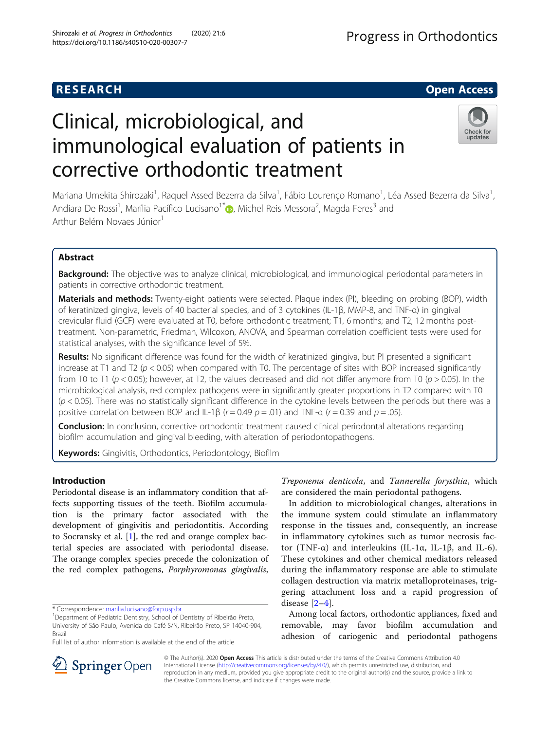# **RESEARCH CHILD CONTROL** CONTROL CONTROL CONTROL CONTROL CONTROL CONTROL CONTROL CONTROL CONTROL CONTROL CONTROL

# Clinical, microbiological, and immunological evaluation of patients in corrective orthodontic treatment



Mariana Umekita Shirozaki<sup>1</sup>, Raquel Assed Bezerra da Silva<sup>1</sup>, Fábio Lourenço Romano<sup>1</sup>, Léa Assed Bezerra da Silva<sup>1</sup> , Andiara De Rossi<sup>1</sup>[,](http://orcid.org/0000-0002-6866-0561) Marília Pacífico Lucisano<sup>1\*</sup> (**p**, Michel Reis Messora<sup>2</sup>, Magda Feres<sup>3</sup> and Arthur Belém Novaes Júnior<sup>1</sup>

# Abstract

Background: The objective was to analyze clinical, microbiological, and immunological periodontal parameters in patients in corrective orthodontic treatment.

Materials and methods: Twenty-eight patients were selected. Plaque index (PI), bleeding on probing (BOP), width of keratinized gingiva, levels of 40 bacterial species, and of 3 cytokines (IL-1β, MMP-8, and TNF-α) in gingival crevicular fluid (GCF) were evaluated at T0, before orthodontic treatment; T1, 6 months; and T2, 12 months posttreatment. Non-parametric, Friedman, Wilcoxon, ANOVA, and Spearman correlation coefficient tests were used for statistical analyses, with the significance level of 5%.

Results: No significant difference was found for the width of keratinized gingiva, but PI presented a significant increase at T1 and T2 ( $p < 0.05$ ) when compared with T0. The percentage of sites with BOP increased significantly from T0 to T1 ( $p < 0.05$ ); however, at T2, the values decreased and did not differ anymore from T0 ( $p > 0.05$ ). In the microbiological analysis, red complex pathogens were in significantly greater proportions in T2 compared with T0  $(p < 0.05)$ . There was no statistically significant difference in the cytokine levels between the periods but there was a positive correlation between BOP and IL-1β ( $r = 0.49$   $p = .01$ ) and TNF-a ( $r = 0.39$  and  $p = .05$ ).

**Conclusion:** In conclusion, corrective orthodontic treatment caused clinical periodontal alterations regarding biofilm accumulation and gingival bleeding, with alteration of periodontopathogens.

Keywords: Gingivitis, Orthodontics, Periodontology, Biofilm

# Introduction

Periodontal disease is an inflammatory condition that affects supporting tissues of the teeth. Biofilm accumulation is the primary factor associated with the development of gingivitis and periodontitis. According to Socransky et al. [\[1](#page-7-0)], the red and orange complex bacterial species are associated with periodontal disease. The orange complex species precede the colonization of the red complex pathogens, Porphyromonas gingivalis,

Treponema denticola, and Tannerella forysthia, which are considered the main periodontal pathogens.

In addition to microbiological changes, alterations in the immune system could stimulate an inflammatory response in the tissues and, consequently, an increase in inflammatory cytokines such as tumor necrosis factor (TNF-α) and interleukins (IL-1α, IL-1β, and IL-6). These cytokines and other chemical mediators released during the inflammatory response are able to stimulate collagen destruction via matrix metalloproteinases, triggering attachment loss and a rapid progression of disease [[2](#page-7-0)–[4](#page-7-0)].

Among local factors, orthodontic appliances, fixed and removable, may favor biofilm accumulation and adhesion of cariogenic and periodontal pathogens



© The Author(s). 2020 Open Access This article is distributed under the terms of the Creative Commons Attribution 4.0 International License ([http://creativecommons.org/licenses/by/4.0/\)](http://creativecommons.org/licenses/by/4.0/), which permits unrestricted use, distribution, and reproduction in any medium, provided you give appropriate credit to the original author(s) and the source, provide a link to the Creative Commons license, and indicate if changes were made.

<sup>\*</sup> Correspondence: [marilia.lucisano@forp.usp.br](mailto:marilia.lucisano@forp.usp.br) <sup>1</sup>

<sup>&</sup>lt;sup>1</sup>Department of Pediatric Dentistry, School of Dentistry of Ribeirão Preto, University of São Paulo, Avenida do Café S/N, Ribeirão Preto, SP 14040-904, Brazil

Full list of author information is available at the end of the article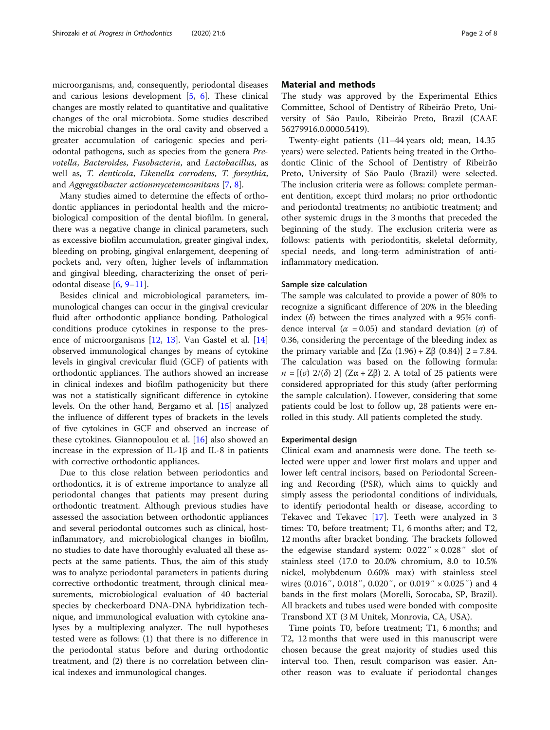microorganisms, and, consequently, periodontal diseases and carious lesions development [[5,](#page-7-0) [6\]](#page-7-0). These clinical changes are mostly related to quantitative and qualitative changes of the oral microbiota. Some studies described the microbial changes in the oral cavity and observed a greater accumulation of cariogenic species and periodontal pathogens, such as species from the genera Prevotella, Bacteroides, Fusobacteria, and Lactobacillus, as well as, T. denticola, Eikenella corrodens, T. forsythia, and Aggregatibacter actionmycetemcomitans [[7,](#page-7-0) [8\]](#page-7-0).

Many studies aimed to determine the effects of orthodontic appliances in periodontal health and the microbiological composition of the dental biofilm. In general, there was a negative change in clinical parameters, such as excessive biofilm accumulation, greater gingival index, bleeding on probing, gingival enlargement, deepening of pockets and, very often, higher levels of inflammation and gingival bleeding, characterizing the onset of periodontal disease [\[6](#page-7-0), [9](#page-7-0)–[11\]](#page-7-0).

Besides clinical and microbiological parameters, immunological changes can occur in the gingival crevicular fluid after orthodontic appliance bonding. Pathological conditions produce cytokines in response to the presence of microorganisms [\[12,](#page-7-0) [13\]](#page-7-0). Van Gastel et al. [[14](#page-7-0)] observed immunological changes by means of cytokine levels in gingival crevicular fluid (GCF) of patients with orthodontic appliances. The authors showed an increase in clinical indexes and biofilm pathogenicity but there was not a statistically significant difference in cytokine levels. On the other hand, Bergamo et al. [[15](#page-7-0)] analyzed the influence of different types of brackets in the levels of five cytokines in GCF and observed an increase of these cytokines. Giannopoulou et al. [\[16\]](#page-7-0) also showed an increase in the expression of IL-1β and IL-8 in patients with corrective orthodontic appliances.

Due to this close relation between periodontics and orthodontics, it is of extreme importance to analyze all periodontal changes that patients may present during orthodontic treatment. Although previous studies have assessed the association between orthodontic appliances and several periodontal outcomes such as clinical, hostinflammatory, and microbiological changes in biofilm, no studies to date have thoroughly evaluated all these aspects at the same patients. Thus, the aim of this study was to analyze periodontal parameters in patients during corrective orthodontic treatment, through clinical measurements, microbiological evaluation of 40 bacterial species by checkerboard DNA-DNA hybridization technique, and immunological evaluation with cytokine analyses by a multiplexing analyzer. The null hypotheses tested were as follows: (1) that there is no difference in the periodontal status before and during orthodontic treatment, and (2) there is no correlation between clinical indexes and immunological changes.

# Material and methods

The study was approved by the Experimental Ethics Committee, School of Dentistry of Ribeirão Preto, University of São Paulo, Ribeirão Preto, Brazil (CAAE 56279916.0.0000.5419).

Twenty-eight patients (11–44 years old; mean, 14.35 years) were selected. Patients being treated in the Orthodontic Clinic of the School of Dentistry of Ribeirão Preto, University of São Paulo (Brazil) were selected. The inclusion criteria were as follows: complete permanent dentition, except third molars; no prior orthodontic and periodontal treatments; no antibiotic treatment; and other systemic drugs in the 3 months that preceded the beginning of the study. The exclusion criteria were as follows: patients with periodontitis, skeletal deformity, special needs, and long-term administration of antiinflammatory medication.

# Sample size calculation

The sample was calculated to provide a power of 80% to recognize a significant difference of 20% in the bleeding index  $(\delta)$  between the times analyzed with a 95% confidence interval ( $\alpha$  = 0.05) and standard deviation ( $\sigma$ ) of 0.36, considering the percentage of the bleeding index as the primary variable and  $[Zα (1.96) + Zβ (0.84)]$  2 = 7.84. The calculation was based on the following formula:  $n = [(\sigma) 2/(\delta) 2]$  (Z $\alpha + Z\beta$ ) 2. A total of 25 patients were considered appropriated for this study (after performing the sample calculation). However, considering that some patients could be lost to follow up, 28 patients were enrolled in this study. All patients completed the study.

# Experimental design

Clinical exam and anamnesis were done. The teeth selected were upper and lower first molars and upper and lower left central incisors, based on Periodontal Screening and Recording (PSR), which aims to quickly and simply assess the periodontal conditions of individuals, to identify periodontal health or disease, according to Tekavec and Tekavec [[17\]](#page-7-0). Teeth were analyzed in 3 times: T0, before treatment; T1, 6 months after; and T2, 12 months after bracket bonding. The brackets followed the edgewise standard system:  $0.022'' \times 0.028''$  slot of stainless steel (17.0 to 20.0% chromium, 8.0 to 10.5% nickel, molybdenum 0.60% max) with stainless steel wires (0.016″, 0.018″, 0.020″, or 0.019″ × 0.025″) and 4 bands in the first molars (Morelli, Sorocaba, SP, Brazil). All brackets and tubes used were bonded with composite Transbond XT (3 M Unitek, Monrovia, CA, USA).

Time points T0, before treatment; T1, 6 months; and T2, 12 months that were used in this manuscript were chosen because the great majority of studies used this interval too. Then, result comparison was easier. Another reason was to evaluate if periodontal changes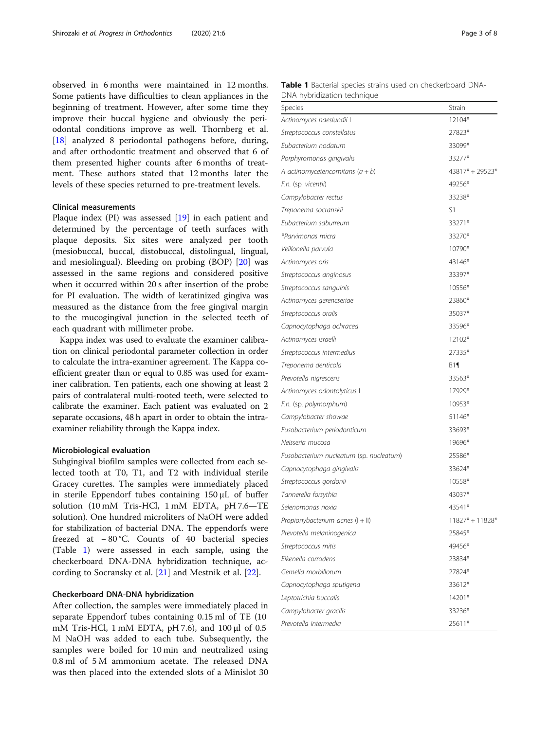<span id="page-2-0"></span>observed in 6 months were maintained in 12 months. Some patients have difficulties to clean appliances in the beginning of treatment. However, after some time they improve their buccal hygiene and obviously the periodontal conditions improve as well. Thornberg et al. [[18\]](#page-7-0) analyzed 8 periodontal pathogens before, during, and after orthodontic treatment and observed that 6 of them presented higher counts after 6 months of treatment. These authors stated that 12 months later the levels of these species returned to pre-treatment levels.

# Clinical measurements

Plaque index (PI) was assessed [\[19](#page-7-0)] in each patient and determined by the percentage of teeth surfaces with plaque deposits. Six sites were analyzed per tooth (mesiobuccal, buccal, distobuccal, distolingual, lingual, and mesiolingual). Bleeding on probing (BOP) [[20](#page-7-0)] was assessed in the same regions and considered positive when it occurred within 20 s after insertion of the probe for PI evaluation. The width of keratinized gingiva was measured as the distance from the free gingival margin to the mucogingival junction in the selected teeth of each quadrant with millimeter probe.

Kappa index was used to evaluate the examiner calibration on clinical periodontal parameter collection in order to calculate the intra-examiner agreement. The Kappa coefficient greater than or equal to 0.85 was used for examiner calibration. Ten patients, each one showing at least 2 pairs of contralateral multi-rooted teeth, were selected to calibrate the examiner. Each patient was evaluated on 2 separate occasions, 48 h apart in order to obtain the intraexaminer reliability through the Kappa index.

# Microbiological evaluation

Subgingival biofilm samples were collected from each selected tooth at T0, T1, and T2 with individual sterile Gracey curettes. The samples were immediately placed in sterile Eppendorf tubes containing 150 μL of buffer solution (10 mM Tris-HCl, 1 mM EDTA, pH 7.6—TE solution). One hundred microliters of NaOH were added for stabilization of bacterial DNA. The eppendorfs were freezed at − 80 °C. Counts of 40 bacterial species (Table 1) were assessed in each sample, using the checkerboard DNA-DNA hybridization technique, according to Socransky et al. [[21\]](#page-7-0) and Mestnik et al. [[22](#page-7-0)].

# Checkerboard DNA-DNA hybridization

After collection, the samples were immediately placed in separate Eppendorf tubes containing 0.15 ml of TE (10 mM Tris-HCl, 1 mM EDTA, pH 7.6), and 100 μl of 0.5 M NaOH was added to each tube. Subsequently, the samples were boiled for 10 min and neutralized using 0.8 ml of 5 M ammonium acetate. The released DNA was then placed into the extended slots of a Minislot 30

Table 1 Bacterial species strains used on checkerboard DNA-DNA hybridization technique

| Species                                 | <b>Strain</b>     |  |
|-----------------------------------------|-------------------|--|
| Actinomyces naeslundii I                | 12104*            |  |
| Streptococcus constellatus              | 27823*            |  |
| Eubacterium nodatum                     | 33099*            |  |
| Porphyromonas gingivalis                | 33277*            |  |
| A actinomycetencomitans $(a + b)$       | 43817* + 29523*   |  |
| F.n. (sp. vicentii)                     | 49256*            |  |
| Campylobacter rectus                    | 33238*            |  |
| Treponema socranskii                    | S1                |  |
| Eubacterium saburreum                   | 33271*            |  |
| *Parvimonas micra                       | 33270*            |  |
| Veillonella parvula                     | 10790*            |  |
| Actinomyces oris                        | 43146*            |  |
| Streptococcus anginosus                 | 33397*            |  |
| Streptococcus sanguinis                 | 10556*            |  |
| Actinomyces gerencseriae                | 23860*            |  |
| Streptococcus oralis                    | 35037*            |  |
| Capnocytophaga ochracea                 | 33596*            |  |
| Actinomyces israelli                    | 12102*            |  |
| Streptococcus intermedius               | 27335*            |  |
| Treponema denticola                     | $B1\P$            |  |
| Prevotella nigrescens                   | 33563*            |  |
| Actinomyces odontolyticus I             | 17929*            |  |
| F.n. (sp. polymorphum)                  | 10953*            |  |
| Campylobacter showae                    | 51146*            |  |
| Fusobacterium periodonticum             | 33693*            |  |
| Neisseria mucosa                        | 19696*            |  |
| Fusobacterium nucleatum (sp. nucleatum) | 25586*            |  |
| Capnocytophaga gingivalis               | 33624*            |  |
| Streptococcus gordonii                  | 10558*            |  |
| Tannerella forsythia                    | 43037*            |  |
| Selenomonas noxia                       | 43541*            |  |
| Propionybacterium acnes (I + II)        | $11827* + 11828*$ |  |
| Prevotella melaninogenica               | 25845*            |  |
| Streptococcus mitis                     | 49456*            |  |
| Eikenella corrodens                     | 23834*            |  |
| Gemella morbillorum                     | 27824*            |  |
| Capnocytophaga sputigena                | 33612*            |  |
| Leptotrichia buccalis                   | 14201*            |  |
| Campylobacter gracilis                  | 33236*            |  |
| Prevotella intermedia                   | 25611*            |  |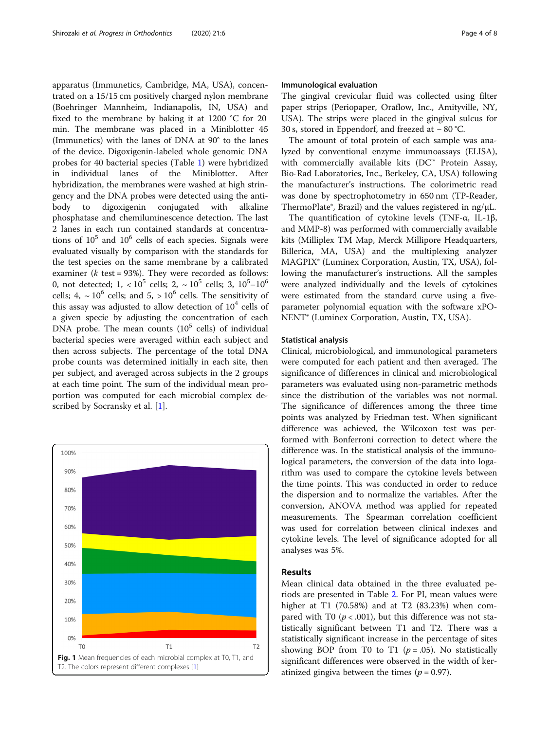<span id="page-3-0"></span>apparatus (Immunetics, Cambridge, MA, USA), concentrated on a 15/15 cm positively charged nylon membrane (Boehringer Mannheim, Indianapolis, IN, USA) and fixed to the membrane by baking it at 1200 °C for 20 min. The membrane was placed in a Miniblotter 45 (Immunetics) with the lanes of DNA at 90° to the lanes of the device. Digoxigenin-labeled whole genomic DNA probes for 40 bacterial species (Table [1\)](#page-2-0) were hybridized in individual lanes of the Miniblotter. After hybridization, the membranes were washed at high stringency and the DNA probes were detected using the antibody to digoxigenin conjugated with alkaline phosphatase and chemiluminescence detection. The last 2 lanes in each run contained standards at concentrations of  $10^5$  and  $10^6$  cells of each species. Signals were evaluated visually by comparison with the standards for the test species on the same membrane by a calibrated examiner ( $k$  test = 93%). They were recorded as follows: 0, not detected;  $1, <10^5$  cells;  $2, \sim 10^5$  cells;  $3, 10^5\text{--}10^6$ cells; 4,  $\sim$  10<sup>6</sup> cells; and 5,  $>$  10<sup>6</sup> cells. The sensitivity of this assay was adjusted to allow detection of  $10<sup>4</sup>$  cells of a given specie by adjusting the concentration of each DNA probe. The mean counts  $(10^5 \text{ cells})$  of individual bacterial species were averaged within each subject and then across subjects. The percentage of the total DNA probe counts was determined initially in each site, then per subject, and averaged across subjects in the 2 groups at each time point. The sum of the individual mean proportion was computed for each microbial complex described by Socransky et al. [[1\]](#page-7-0).



# Immunological evaluation

The gingival crevicular fluid was collected using filter paper strips (Periopaper, Oraflow, Inc., Amityville, NY, USA). The strips were placed in the gingival sulcus for 30 s, stored in Eppendorf, and freezed at − 80 °C.

The amount of total protein of each sample was analyzed by conventional enzyme immunoassays (ELISA), with commercially available kits (DC™ Protein Assay, Bio-Rad Laboratories, Inc., Berkeley, CA, USA) following the manufacturer's instructions. The colorimetric read was done by spectrophotometry in 650 nm (TP-Reader, ThermoPlate®, Brazil) and the values registered in ng/μL.

The quantification of cytokine levels (TNF-α, IL-1β, and MMP-8) was performed with commercially available kits (Milliplex TM Map, Merck Millipore Headquarters, Billerica, MA, USA) and the multiplexing analyzer MAGPIX® (Luminex Corporation, Austin, TX, USA), following the manufacturer's instructions. All the samples were analyzed individually and the levels of cytokines were estimated from the standard curve using a fiveparameter polynomial equation with the software xPO-NENT® (Luminex Corporation, Austin, TX, USA).

# Statistical analysis

Clinical, microbiological, and immunological parameters were computed for each patient and then averaged. The significance of differences in clinical and microbiological parameters was evaluated using non-parametric methods since the distribution of the variables was not normal. The significance of differences among the three time points was analyzed by Friedman test. When significant difference was achieved, the Wilcoxon test was performed with Bonferroni correction to detect where the difference was. In the statistical analysis of the immunological parameters, the conversion of the data into logarithm was used to compare the cytokine levels between the time points. This was conducted in order to reduce the dispersion and to normalize the variables. After the conversion, ANOVA method was applied for repeated measurements. The Spearman correlation coefficient was used for correlation between clinical indexes and cytokine levels. The level of significance adopted for all analyses was 5%.

# Results

Mean clinical data obtained in the three evaluated periods are presented in Table [2.](#page-4-0) For PI, mean values were higher at T1 (70.58%) and at T2 (83.23%) when compared with T0 ( $p < .001$ ), but this difference was not statistically significant between T1 and T2. There was a statistically significant increase in the percentage of sites showing BOP from T0 to T1 ( $p = .05$ ). No statistically significant differences were observed in the width of keratinized gingiva between the times ( $p = 0.97$ ).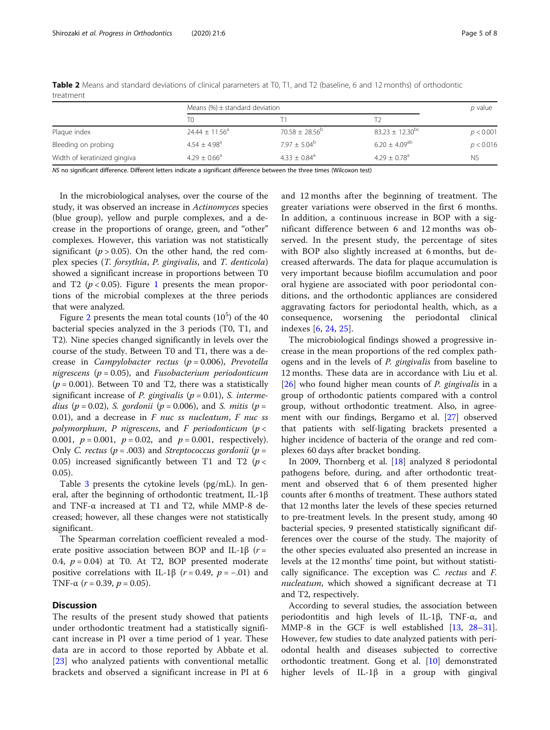|                              | Means $(\%) \pm$ standard deviation |                            |                             | $p$ value |
|------------------------------|-------------------------------------|----------------------------|-----------------------------|-----------|
|                              | TO                                  |                            |                             |           |
| Plaque index                 | $24.44 \pm 11.56^a$                 | $70.58 \pm 28.56^{\circ}$  | $83.23 \pm 12.30^{bc}$      | p < 0.001 |
| Bleeding on probing          | $4.54 + 4.98$ <sup>a</sup>          | $7.97 + 5.04^b$            | $6.20 + 4.09$ <sup>ab</sup> | p < 0.016 |
| Width of keratinized gingiva | $4.29 \pm 0.66^a$                   | $4.33 + 0.84$ <sup>a</sup> | $4.29 + 0.78$ <sup>a</sup>  | <b>NS</b> |

<span id="page-4-0"></span>Table 2 Means and standard deviations of clinical parameters at T0, T1, and T2 (baseline, 6 and 12 months) of orthodontic treatment

NS no significant difference. Different letters indicate a significant difference between the three times (Wilcoxon test)

In the microbiological analyses, over the course of the study, it was observed an increase in Actinomyces species (blue group), yellow and purple complexes, and a decrease in the proportions of orange, green, and "other" complexes. However, this variation was not statistically significant ( $p > 0.05$ ). On the other hand, the red complex species (T. forsythia, P. gingivalis, and T. denticola) showed a significant increase in proportions between T0 and T2 ( $p < 0.05$ ). Figure [1](#page-3-0) presents the mean proportions of the microbial complexes at the three periods that were analyzed.

Figure [2](#page-5-0) presents the mean total counts  $(10^5)$  of the 40 bacterial species analyzed in the 3 periods (T0, T1, and T2). Nine species changed significantly in levels over the course of the study. Between T0 and T1, there was a decrease in *Campylobacter rectus* ( $p = 0.006$ ), *Prevotella* nigrescens ( $p = 0.05$ ), and *Fusobacterium periodonticum*  $(p = 0.001)$ . Between T0 and T2, there was a statistically significant increase of *P. gingivalis* ( $p = 0.01$ ), *S. interme*dius ( $p = 0.02$ ), S. gordonii ( $p = 0.006$ ), and S. mitis ( $p = 0.02$ ) 0.01), and a decrease in  $F$  nuc ss nucleatum,  $F$  nuc ss polymorphum, P nigrescens, and F periodonticum ( $p <$ 0.001,  $p = 0.001$ ,  $p = 0.02$ , and  $p = 0.001$ , respectively). Only C. rectus ( $p = .003$ ) and Streptococcus gordonii ( $p =$ 0.05) increased significantly between T1 and T2 ( $p <$ 0.05).

Table [3](#page-6-0) presents the cytokine levels (pg/mL). In general, after the beginning of orthodontic treatment, IL-1β and TNF-α increased at T1 and T2, while MMP-8 decreased; however, all these changes were not statistically significant.

The Spearman correlation coefficient revealed a moderate positive association between BOP and IL-1 $\beta$  (r = 0.4,  $p = 0.04$ ) at T0. At T2, BOP presented moderate positive correlations with IL-1β ( $r = 0.49$ ,  $p = -.01$ ) and TNF- $\alpha$  ( $r = 0.39$ ,  $p = 0.05$ ).

# **Discussion**

The results of the present study showed that patients under orthodontic treatment had a statistically significant increase in PI over a time period of 1 year. These data are in accord to those reported by Abbate et al. [[23\]](#page-7-0) who analyzed patients with conventional metallic brackets and observed a significant increase in PI at 6 and 12 months after the beginning of treatment. The greater variations were observed in the first 6 months. In addition, a continuous increase in BOP with a significant difference between 6 and 12 months was observed. In the present study, the percentage of sites with BOP also slightly increased at 6 months, but decreased afterwards. The data for plaque accumulation is very important because biofilm accumulation and poor oral hygiene are associated with poor periodontal conditions, and the orthodontic appliances are considered aggravating factors for periodontal health, which, as a consequence, worsening the periodontal clinical indexes [\[6](#page-7-0), [24](#page-7-0), [25](#page-7-0)].

The microbiological findings showed a progressive increase in the mean proportions of the red complex pathogens and in the levels of P. gingivalis from baseline to 12 months. These data are in accordance with Liu et al.  $[26]$  $[26]$  who found higher mean counts of *P. gingivalis* in a group of orthodontic patients compared with a control group, without orthodontic treatment. Also, in agreement with our findings, Bergamo et al. [\[27](#page-7-0)] observed that patients with self-ligating brackets presented a higher incidence of bacteria of the orange and red complexes 60 days after bracket bonding.

In 2009, Thornberg et al. [[18\]](#page-7-0) analyzed 8 periodontal pathogens before, during, and after orthodontic treatment and observed that 6 of them presented higher counts after 6 months of treatment. These authors stated that 12 months later the levels of these species returned to pre-treatment levels. In the present study, among 40 bacterial species, 9 presented statistically significant differences over the course of the study. The majority of the other species evaluated also presented an increase in levels at the 12 months' time point, but without statistically significance. The exception was C. rectus and F. nucleatum, which showed a significant decrease at T1 and T2, respectively.

According to several studies, the association between periodontitis and high levels of IL-1β, TNF-α, and MMP-8 in the GCF is well established [[13,](#page-7-0) [28](#page-7-0)–[31](#page-7-0)]. However, few studies to date analyzed patients with periodontal health and diseases subjected to corrective orthodontic treatment. Gong et al. [\[10\]](#page-7-0) demonstrated higher levels of IL-1β in a group with gingival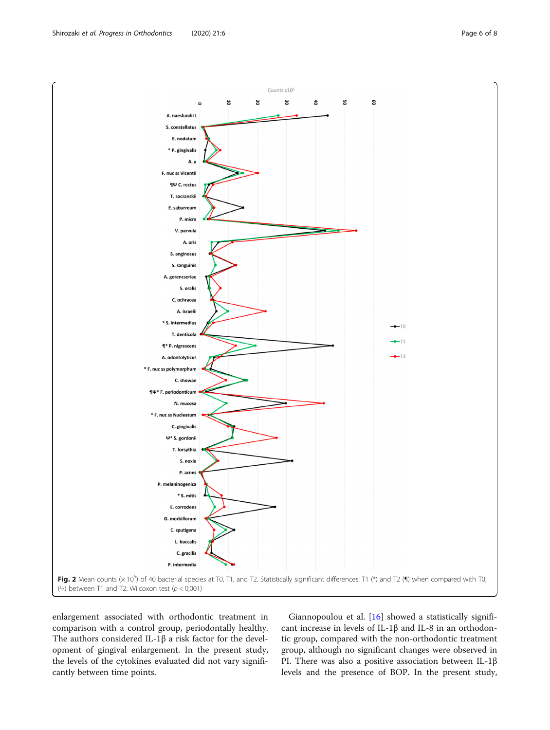enlargement associated with orthodontic treatment in comparison with a control group, periodontally healthy. The authors considered IL-1β a risk factor for the development of gingival enlargement. In the present study, the levels of the cytokines evaluated did not vary significantly between time points.

Giannopoulou et al. [[16](#page-7-0)] showed a statistically significant increase in levels of IL-1β and IL-8 in an orthodontic group, compared with the non-orthodontic treatment group, although no significant changes were observed in PI. There was also a positive association between IL-1β levels and the presence of BOP. In the present study,

<span id="page-5-0"></span>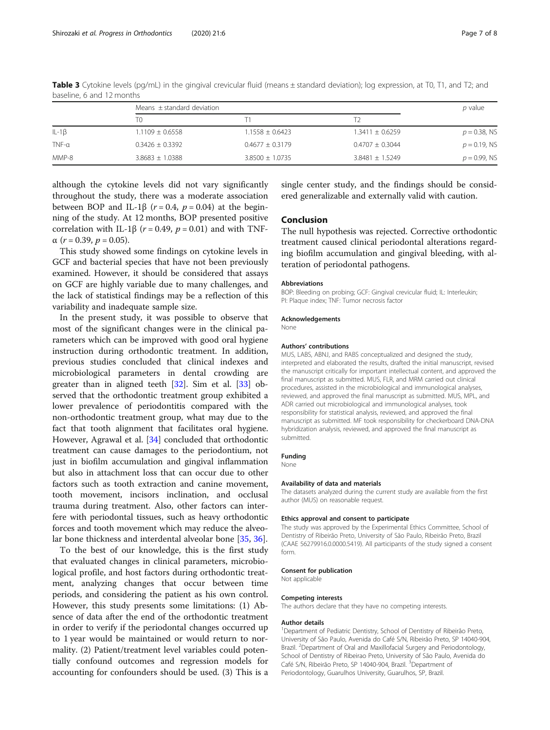|             | Means $\pm$ standard deviation |                     |                     | $p$ value       |
|-------------|--------------------------------|---------------------|---------------------|-----------------|
|             | T0                             |                     |                     |                 |
| $IL-1\beta$ | $1.1109 \pm 0.6558$            | $1.1558 \pm 0.6423$ | $1.3411 \pm 0.6259$ | $p = 0.38$ , NS |
| $TNF-a$     | $0.3426 \pm 0.3392$            | $0.4677 \pm 0.3179$ | $0.4707 \pm 0.3044$ | $p = 0.19$ , NS |
| MMP-8       | $3.8683 \pm 1.0388$            | $3.8500 \pm 1.0735$ | $3.8481 \pm 1.5249$ | $p = 0.99$ , NS |

<span id="page-6-0"></span>Table 3 Cytokine levels (pg/mL) in the gingival crevicular fluid (means  $\pm$  standard deviation); log expression, at T0, T1, and T2; and baseline, 6 and 12 months

although the cytokine levels did not vary significantly throughout the study, there was a moderate association between BOP and IL-1 $\beta$  ( $r = 0.4$ ,  $p = 0.04$ ) at the beginning of the study. At 12 months, BOP presented positive correlation with IL-1β ( $r = 0.49$ ,  $p = 0.01$ ) and with TNF- $\alpha$  (r = 0.39, p = 0.05).

This study showed some findings on cytokine levels in GCF and bacterial species that have not been previously examined. However, it should be considered that assays on GCF are highly variable due to many challenges, and the lack of statistical findings may be a reflection of this variability and inadequate sample size.

In the present study, it was possible to observe that most of the significant changes were in the clinical parameters which can be improved with good oral hygiene instruction during orthodontic treatment. In addition, previous studies concluded that clinical indexes and microbiological parameters in dental crowding are greater than in aligned teeth [[32](#page-7-0)]. Sim et al. [[33\]](#page-7-0) observed that the orthodontic treatment group exhibited a lower prevalence of periodontitis compared with the non-orthodontic treatment group, what may due to the fact that tooth alignment that facilitates oral hygiene. However, Agrawal et al. [[34](#page-7-0)] concluded that orthodontic treatment can cause damages to the periodontium, not just in biofilm accumulation and gingival inflammation but also in attachment loss that can occur due to other factors such as tooth extraction and canine movement, tooth movement, incisors inclination, and occlusal trauma during treatment. Also, other factors can interfere with periodontal tissues, such as heavy orthodontic forces and tooth movement which may reduce the alveolar bone thickness and interdental alveolar bone [[35,](#page-7-0) [36\]](#page-7-0).

To the best of our knowledge, this is the first study that evaluated changes in clinical parameters, microbiological profile, and host factors during orthodontic treatment, analyzing changes that occur between time periods, and considering the patient as his own control. However, this study presents some limitations: (1) Absence of data after the end of the orthodontic treatment in order to verify if the periodontal changes occurred up to 1 year would be maintained or would return to normality. (2) Patient/treatment level variables could potentially confound outcomes and regression models for accounting for confounders should be used. (3) This is a

single center study, and the findings should be considered generalizable and externally valid with caution.

# Conclusion

The null hypothesis was rejected. Corrective orthodontic treatment caused clinical periodontal alterations regarding biofilm accumulation and gingival bleeding, with alteration of periodontal pathogens.

# Abbreviations

BOP: Bleeding on probing; GCF: Gingival crevicular fluid; IL: Interleukin; PI: Plaque index; TNF: Tumor necrosis factor

#### Acknowledgements

None

# Authors' contributions

MUS, LABS, ABNJ, and RABS conceptualized and designed the study, interpreted and elaborated the results, drafted the initial manuscript, revised the manuscript critically for important intellectual content, and approved the final manuscript as submitted. MUS, FLR, and MRM carried out clinical procedures, assisted in the microbiological and immunological analyses, reviewed, and approved the final manuscript as submitted. MUS, MPL, and ADR carried out microbiological and immunological analyses, took responsibility for statistical analysis, reviewed, and approved the final manuscript as submitted. MF took responsibility for checkerboard DNA-DNA hybridization analysis, reviewed, and approved the final manuscript as submitted.

# Funding

None

### Availability of data and materials

The datasets analyzed during the current study are available from the first author (MUS) on reasonable request.

# Ethics approval and consent to participate

The study was approved by the Experimental Ethics Committee, School of Dentistry of Ribeirão Preto, University of São Paulo, Ribeirão Preto, Brazil (CAAE 56279916.0.0000.5419). All participants of the study signed a consent form.

#### Consent for publication

Not applicable

# Competing interests

The authors declare that they have no competing interests.

# Author details

<sup>1</sup> Department of Pediatric Dentistry, School of Dentistry of Ribeirão Preto University of São Paulo, Avenida do Café S/N, Ribeirão Preto, SP 14040-904, Brazil. <sup>2</sup> Department of Oral and Maxillofacial Surgery and Periodontology, School of Dentistry of Ribeirao Preto, University of São Paulo, Avenida do Café S/N, Ribeirão Preto, SP 14040-904, Brazil. <sup>3</sup>Department of Periodontology, Guarulhos University, Guarulhos, SP, Brazil.